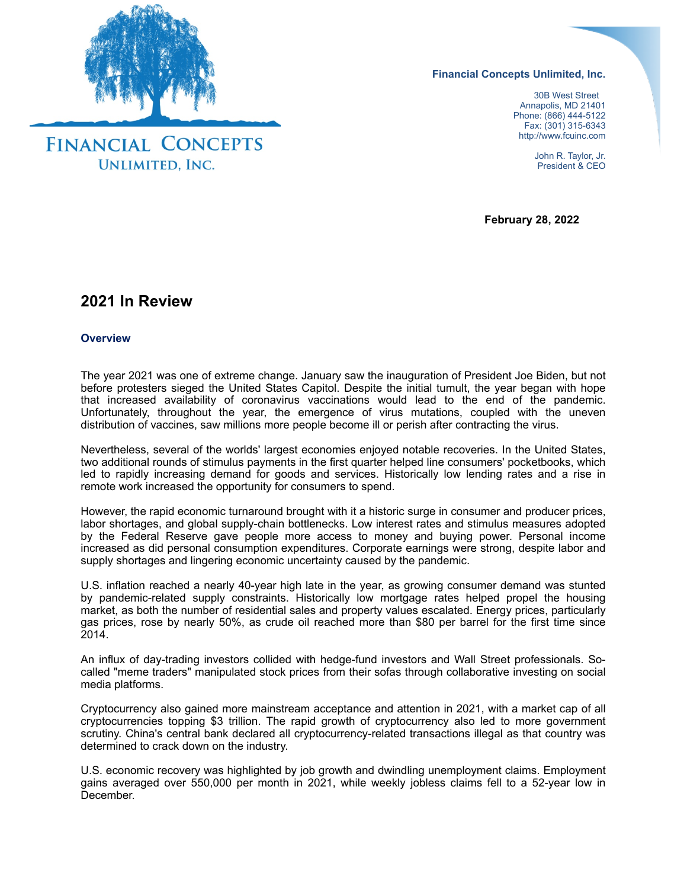

**Financial Concepts Unlimited, Inc.**

 30B West Street Annapolis, MD 21401 Phone: (866) 444-5122 Fax: (301) 315-6343 http://www.fcuinc.com

> John R. Taylor, Jr. President & CEO

**February 28, 2022**

# **2021 In Review**

### **Overview**

The year 2021 was one of extreme change. January saw the inauguration of President Joe Biden, but not before protesters sieged the United States Capitol. Despite the initial tumult, the year began with hope that increased availability of coronavirus vaccinations would lead to the end of the pandemic. Unfortunately, throughout the year, the emergence of virus mutations, coupled with the uneven distribution of vaccines, saw millions more people become ill or perish after contracting the virus.

Nevertheless, several of the worlds' largest economies enjoyed notable recoveries. In the United States, two additional rounds of stimulus payments in the first quarter helped line consumers' pocketbooks, which led to rapidly increasing demand for goods and services. Historically low lending rates and a rise in remote work increased the opportunity for consumers to spend.

However, the rapid economic turnaround brought with it a historic surge in consumer and producer prices, labor shortages, and global supply-chain bottlenecks. Low interest rates and stimulus measures adopted by the Federal Reserve gave people more access to money and buying power. Personal income increased as did personal consumption expenditures. Corporate earnings were strong, despite labor and supply shortages and lingering economic uncertainty caused by the pandemic.

U.S. inflation reached a nearly 40-year high late in the year, as growing consumer demand was stunted by pandemic-related supply constraints. Historically low mortgage rates helped propel the housing market, as both the number of residential sales and property values escalated. Energy prices, particularly gas prices, rose by nearly 50%, as crude oil reached more than \$80 per barrel for the first time since 2014.

An influx of day-trading investors collided with hedge-fund investors and Wall Street professionals. Socalled "meme traders" manipulated stock prices from their sofas through collaborative investing on social media platforms.

Cryptocurrency also gained more mainstream acceptance and attention in 2021, with a market cap of all cryptocurrencies topping \$3 trillion. The rapid growth of cryptocurrency also led to more government scrutiny. China's central bank declared all cryptocurrency-related transactions illegal as that country was determined to crack down on the industry.

U.S. economic recovery was highlighted by job growth and dwindling unemployment claims. Employment gains averaged over 550,000 per month in 2021, while weekly jobless claims fell to a 52-year low in December.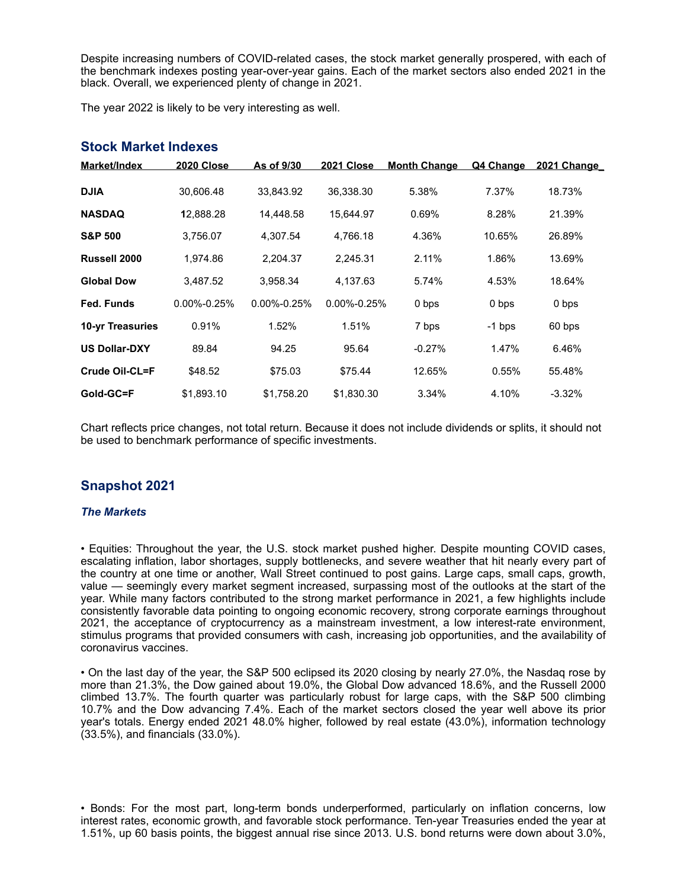Despite increasing numbers of COVID-related cases, the stock market generally prospered, with each of the benchmark indexes posting year-over-year gains. Each of the market sectors also ended 2021 in the black. Overall, we experienced plenty of change in 2021.

The year 2022 is likely to be very interesting as well.

| Market/Index            | <b>2020 Close</b> | As of 9/30        | <b>2021 Close</b> | <b>Month Change</b> | Q4 Change | <b>2021 Change</b> |
|-------------------------|-------------------|-------------------|-------------------|---------------------|-----------|--------------------|
| <b>DJIA</b>             | 30.606.48         | 33,843.92         | 36,338.30         | 5.38%               | 7.37%     | 18.73%             |
| <b>NASDAQ</b>           | 12,888.28         | 14.448.58         | 15.644.97         | 0.69%               | 8.28%     | 21.39%             |
| <b>S&amp;P 500</b>      | 3,756.07          | 4.307.54          | 4.766.18          | 4.36%               | 10.65%    | 26.89%             |
| Russell 2000            | 1.974.86          | 2.204.37          | 2,245.31          | 2.11%               | 1.86%     | 13.69%             |
| <b>Global Dow</b>       | 3,487.52          | 3,958.34          | 4.137.63          | 5.74%               | 4.53%     | 18.64%             |
| Fed. Funds              | $0.00\% - 0.25\%$ | $0.00\% - 0.25\%$ | $0.00\% - 0.25\%$ | 0 bps               | 0 bps     | 0 bps              |
| <b>10-yr Treasuries</b> | 0.91%             | 1.52%             | 1.51%             | 7 bps               | $-1$ bps  | 60 bps             |
| <b>US Dollar-DXY</b>    | 89.84             | 94.25             | 95.64             | $-0.27%$            | 1.47%     | 6.46%              |
| Crude Oil-CL=F          | \$48.52           | \$75.03           | \$75.44           | 12.65%              | 0.55%     | 55.48%             |
| Gold-GC=F               | \$1,893.10        | \$1,758.20        | \$1,830.30        | 3.34%               | 4.10%     | $-3.32%$           |

### **Stock Market Indexes**

Chart reflects price changes, not total return. Because it does not include dividends or splits, it should not be used to benchmark performance of specific investments.

## **Snapshot 2021**

### *The Markets*

• Equities: Throughout the year, the U.S. stock market pushed higher. Despite mounting COVID cases, escalating inflation, labor shortages, supply bottlenecks, and severe weather that hit nearly every part of the country at one time or another, Wall Street continued to post gains. Large caps, small caps, growth, value — seemingly every market segment increased, surpassing most of the outlooks at the start of the year. While many factors contributed to the strong market performance in 2021, a few highlights include consistently favorable data pointing to ongoing economic recovery, strong corporate earnings throughout 2021, the acceptance of cryptocurrency as a mainstream investment, a low interest-rate environment, stimulus programs that provided consumers with cash, increasing job opportunities, and the availability of coronavirus vaccines.

• On the last day of the year, the S&P 500 eclipsed its 2020 closing by nearly 27.0%, the Nasdaq rose by more than 21.3%, the Dow gained about 19.0%, the Global Dow advanced 18.6%, and the Russell 2000 climbed 13.7%. The fourth quarter was particularly robust for large caps, with the S&P 500 climbing 10.7% and the Dow advancing 7.4%. Each of the market sectors closed the year well above its prior year's totals. Energy ended 2021 48.0% higher, followed by real estate (43.0%), information technology (33.5%), and financials (33.0%).

• Bonds: For the most part, long-term bonds underperformed, particularly on inflation concerns, low interest rates, economic growth, and favorable stock performance. Ten-year Treasuries ended the year at 1.51%, up 60 basis points, the biggest annual rise since 2013. U.S. bond returns were down about 3.0%,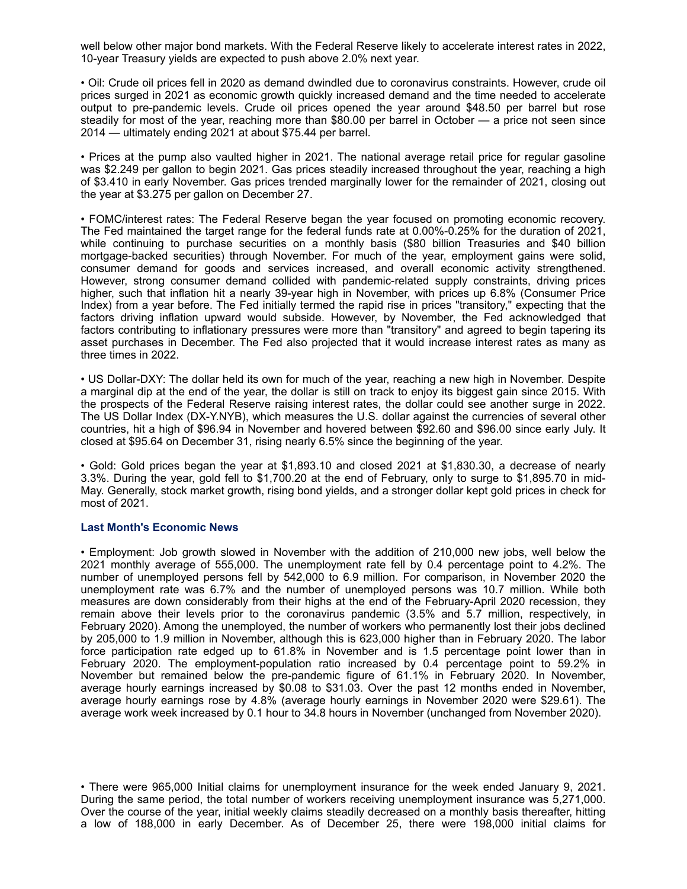well below other major bond markets. With the Federal Reserve likely to accelerate interest rates in 2022, 10-year Treasury yields are expected to push above 2.0% next year.

• Oil: Crude oil prices fell in 2020 as demand dwindled due to coronavirus constraints. However, crude oil prices surged in 2021 as economic growth quickly increased demand and the time needed to accelerate output to pre-pandemic levels. Crude oil prices opened the year around \$48.50 per barrel but rose steadily for most of the year, reaching more than \$80.00 per barrel in October — a price not seen since 2014 — ultimately ending 2021 at about \$75.44 per barrel.

• Prices at the pump also vaulted higher in 2021. The national average retail price for regular gasoline was \$2.249 per gallon to begin 2021. Gas prices steadily increased throughout the year, reaching a high of \$3.410 in early November. Gas prices trended marginally lower for the remainder of 2021, closing out the year at \$3.275 per gallon on December 27.

• FOMC/interest rates: The Federal Reserve began the year focused on promoting economic recovery. The Fed maintained the target range for the federal funds rate at 0.00%-0.25% for the duration of 2021, while continuing to purchase securities on a monthly basis (\$80 billion Treasuries and \$40 billion mortgage-backed securities) through November. For much of the year, employment gains were solid, consumer demand for goods and services increased, and overall economic activity strengthened. However, strong consumer demand collided with pandemic-related supply constraints, driving prices higher, such that inflation hit a nearly 39-year high in November, with prices up 6.8% (Consumer Price Index) from a year before. The Fed initially termed the rapid rise in prices "transitory," expecting that the factors driving inflation upward would subside. However, by November, the Fed acknowledged that factors contributing to inflationary pressures were more than "transitory" and agreed to begin tapering its asset purchases in December. The Fed also projected that it would increase interest rates as many as three times in 2022.

• US Dollar-DXY: The dollar held its own for much of the year, reaching a new high in November. Despite a marginal dip at the end of the year, the dollar is still on track to enjoy its biggest gain since 2015. With the prospects of the Federal Reserve raising interest rates, the dollar could see another surge in 2022. The US Dollar Index (DX-Y.NYB), which measures the U.S. dollar against the currencies of several other countries, hit a high of \$96.94 in November and hovered between \$92.60 and \$96.00 since early July. It closed at \$95.64 on December 31, rising nearly 6.5% since the beginning of the year.

• Gold: Gold prices began the year at \$1,893.10 and closed 2021 at \$1,830.30, a decrease of nearly 3.3%. During the year, gold fell to \$1,700.20 at the end of February, only to surge to \$1,895.70 in mid-May. Generally, stock market growth, rising bond yields, and a stronger dollar kept gold prices in check for most of 2021.

### **Last Month's Economic News**

• Employment: Job growth slowed in November with the addition of 210,000 new jobs, well below the 2021 monthly average of 555,000. The unemployment rate fell by 0.4 percentage point to 4.2%. The number of unemployed persons fell by 542,000 to 6.9 million. For comparison, in November 2020 the unemployment rate was 6.7% and the number of unemployed persons was 10.7 million. While both measures are down considerably from their highs at the end of the February-April 2020 recession, they remain above their levels prior to the coronavirus pandemic (3.5% and 5.7 million, respectively, in February 2020). Among the unemployed, the number of workers who permanently lost their jobs declined by 205,000 to 1.9 million in November, although this is 623,000 higher than in February 2020. The labor force participation rate edged up to 61.8% in November and is 1.5 percentage point lower than in February 2020. The employment-population ratio increased by 0.4 percentage point to 59.2% in November but remained below the pre-pandemic figure of 61.1% in February 2020. In November, average hourly earnings increased by \$0.08 to \$31.03. Over the past 12 months ended in November, average hourly earnings rose by 4.8% (average hourly earnings in November 2020 were \$29.61). The average work week increased by 0.1 hour to 34.8 hours in November (unchanged from November 2020).

• There were 965,000 Initial claims for unemployment insurance for the week ended January 9, 2021. During the same period, the total number of workers receiving unemployment insurance was 5,271,000. Over the course of the year, initial weekly claims steadily decreased on a monthly basis thereafter, hitting a low of 188,000 in early December. As of December 25, there were 198,000 initial claims for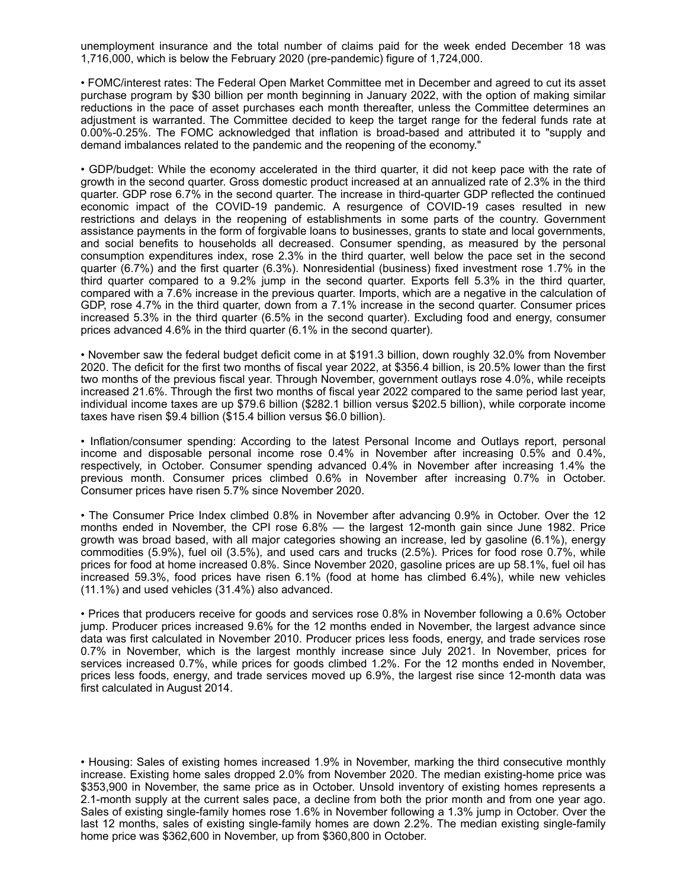unemployment insurance and the total number of claims paid for the week ended December 18 was 1,716,000, which is below the February 2020 (pre-pandemic) figure of 1,724,000.

• FOMC/interest rates: The Federal Open Market Committee met in December and agreed to cut its asset purchase program by \$30 billion per month beginning in January 2022, with the option of making similar reductions in the pace of asset purchases each month thereafter, unless the Committee determines an adjustment is warranted. The Committee decided to keep the target range for the federal funds rate at 0.00%-0.25%. The FOMC acknowledged that inflation is broad-based and attributed it to "supply and demand imbalances related to the pandemic and the reopening of the economy."

• GDP/budget: While the economy accelerated in the third quarter, it did not keep pace with the rate of growth in the second quarter. Gross domestic product increased at an annualized rate of 2.3% in the third quarter. GDP rose 6.7% in the second quarter. The increase in third-quarter GDP reflected the continued economic impact of the COVID-19 pandemic. A resurgence of COVID-19 cases resulted in new restrictions and delays in the reopening of establishments in some parts of the country. Government assistance payments in the form of forgivable loans to businesses, grants to state and local governments, and social benefits to households all decreased. Consumer spending, as measured by the personal consumption expenditures index, rose 2.3% in the third quarter, well below the pace set in the second quarter (6.7%) and the first quarter (6.3%). Nonresidential (business) fixed investment rose 1.7% in the third quarter compared to a 9.2% jump in the second quarter. Exports fell 5.3% in the third quarter, compared with a 7.6% increase in the previous quarter. Imports, which are a negative in the calculation of GDP, rose 4.7% in the third quarter, down from a 7.1% increase in the second quarter. Consumer prices increased 5.3% in the third quarter (6.5% in the second quarter). Excluding food and energy, consumer prices advanced 4.6% in the third quarter (6.1% in the second quarter).

• November saw the federal budget deficit come in at \$191.3 billion, down roughly 32.0% from November 2020. The deficit for the first two months of fiscal year 2022, at \$356.4 billion, is 20.5% lower than the first two months of the previous fiscal year. Through November, government outlays rose 4.0%, while receipts increased 21.6%. Through the first two months of fiscal year 2022 compared to the same period last year, individual income taxes are up \$79.6 billion (\$282.1 billion versus \$202.5 billion), while corporate income taxes have risen \$9.4 billion (\$15.4 billion versus \$6.0 billion).

• Inflation/consumer spending: According to the latest Personal Income and Outlays report, personal income and disposable personal income rose 0.4% in November after increasing 0.5% and 0.4%, respectively, in October. Consumer spending advanced 0.4% in November after increasing 1.4% the previous month. Consumer prices climbed 0.6% in November after increasing 0.7% in October. Consumer prices have risen 5.7% since November 2020.

• The Consumer Price Index climbed 0.8% in November after advancing 0.9% in October. Over the 12 months ended in November, the CPI rose 6.8% — the largest 12-month gain since June 1982. Price growth was broad based, with all major categories showing an increase, led by gasoline (6.1%), energy commodities (5.9%), fuel oil (3.5%), and used cars and trucks (2.5%). Prices for food rose 0.7%, while prices for food at home increased 0.8%. Since November 2020, gasoline prices are up 58.1%, fuel oil has increased 59.3%, food prices have risen 6.1% (food at home has climbed 6.4%), while new vehicles (11.1%) and used vehicles (31.4%) also advanced.

• Prices that producers receive for goods and services rose 0.8% in November following a 0.6% October jump. Producer prices increased 9.6% for the 12 months ended in November, the largest advance since data was first calculated in November 2010. Producer prices less foods, energy, and trade services rose 0.7% in November, which is the largest monthly increase since July 2021. In November, prices for services increased 0.7%, while prices for goods climbed 1.2%. For the 12 months ended in November, prices less foods, energy, and trade services moved up 6.9%, the largest rise since 12-month data was first calculated in August 2014.

• Housing: Sales of existing homes increased 1.9% in November, marking the third consecutive monthly increase. Existing home sales dropped 2.0% from November 2020. The median existing-home price was \$353,900 in November, the same price as in October. Unsold inventory of existing homes represents a 2.1-month supply at the current sales pace, a decline from both the prior month and from one year ago. Sales of existing single-family homes rose 1.6% in November following a 1.3% jump in October. Over the last 12 months, sales of existing single-family homes are down 2.2%. The median existing single-family home price was \$362,600 in November, up from \$360,800 in October.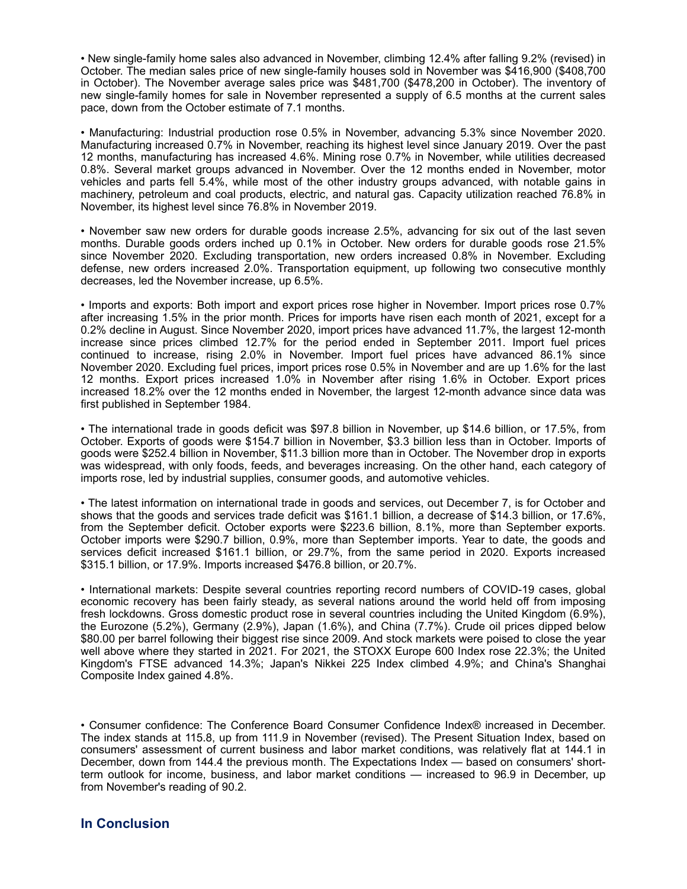• New single-family home sales also advanced in November, climbing 12.4% after falling 9.2% (revised) in October. The median sales price of new single-family houses sold in November was \$416,900 (\$408,700 in October). The November average sales price was \$481,700 (\$478,200 in October). The inventory of new single-family homes for sale in November represented a supply of 6.5 months at the current sales pace, down from the October estimate of 7.1 months.

• Manufacturing: Industrial production rose 0.5% in November, advancing 5.3% since November 2020. Manufacturing increased 0.7% in November, reaching its highest level since January 2019. Over the past 12 months, manufacturing has increased 4.6%. Mining rose 0.7% in November, while utilities decreased 0.8%. Several market groups advanced in November. Over the 12 months ended in November, motor vehicles and parts fell 5.4%, while most of the other industry groups advanced, with notable gains in machinery, petroleum and coal products, electric, and natural gas. Capacity utilization reached 76.8% in November, its highest level since 76.8% in November 2019.

• November saw new orders for durable goods increase 2.5%, advancing for six out of the last seven months. Durable goods orders inched up 0.1% in October. New orders for durable goods rose 21.5% since November 2020. Excluding transportation, new orders increased 0.8% in November. Excluding defense, new orders increased 2.0%. Transportation equipment, up following two consecutive monthly decreases, led the November increase, up 6.5%.

• Imports and exports: Both import and export prices rose higher in November. Import prices rose 0.7% after increasing 1.5% in the prior month. Prices for imports have risen each month of 2021, except for a 0.2% decline in August. Since November 2020, import prices have advanced 11.7%, the largest 12-month increase since prices climbed 12.7% for the period ended in September 2011. Import fuel prices continued to increase, rising 2.0% in November. Import fuel prices have advanced 86.1% since November 2020. Excluding fuel prices, import prices rose 0.5% in November and are up 1.6% for the last 12 months. Export prices increased 1.0% in November after rising 1.6% in October. Export prices increased 18.2% over the 12 months ended in November, the largest 12-month advance since data was first published in September 1984.

• The international trade in goods deficit was \$97.8 billion in November, up \$14.6 billion, or 17.5%, from October. Exports of goods were \$154.7 billion in November, \$3.3 billion less than in October. Imports of goods were \$252.4 billion in November, \$11.3 billion more than in October. The November drop in exports was widespread, with only foods, feeds, and beverages increasing. On the other hand, each category of imports rose, led by industrial supplies, consumer goods, and automotive vehicles.

• The latest information on international trade in goods and services, out December 7, is for October and shows that the goods and services trade deficit was \$161.1 billion, a decrease of \$14.3 billion, or 17.6%, from the September deficit. October exports were \$223.6 billion, 8.1%, more than September exports. October imports were \$290.7 billion, 0.9%, more than September imports. Year to date, the goods and services deficit increased \$161.1 billion, or 29.7%, from the same period in 2020. Exports increased \$315.1 billion, or 17.9%. Imports increased \$476.8 billion, or 20.7%.

• International markets: Despite several countries reporting record numbers of COVID-19 cases, global economic recovery has been fairly steady, as several nations around the world held off from imposing fresh lockdowns. Gross domestic product rose in several countries including the United Kingdom (6.9%), the Eurozone (5.2%), Germany (2.9%), Japan (1.6%), and China (7.7%). Crude oil prices dipped below \$80.00 per barrel following their biggest rise since 2009. And stock markets were poised to close the year well above where they started in 2021. For 2021, the STOXX Europe 600 Index rose 22.3%; the United Kingdom's FTSE advanced 14.3%; Japan's Nikkei 225 Index climbed 4.9%; and China's Shanghai Composite Index gained 4.8%.

• Consumer confidence: The Conference Board Consumer Confidence Index® increased in December. The index stands at 115.8, up from 111.9 in November (revised). The Present Situation Index, based on consumers' assessment of current business and labor market conditions, was relatively flat at 144.1 in December, down from 144.4 the previous month. The Expectations Index — based on consumers' shortterm outlook for income, business, and labor market conditions — increased to 96.9 in December, up from November's reading of 90.2.

## **In Conclusion**